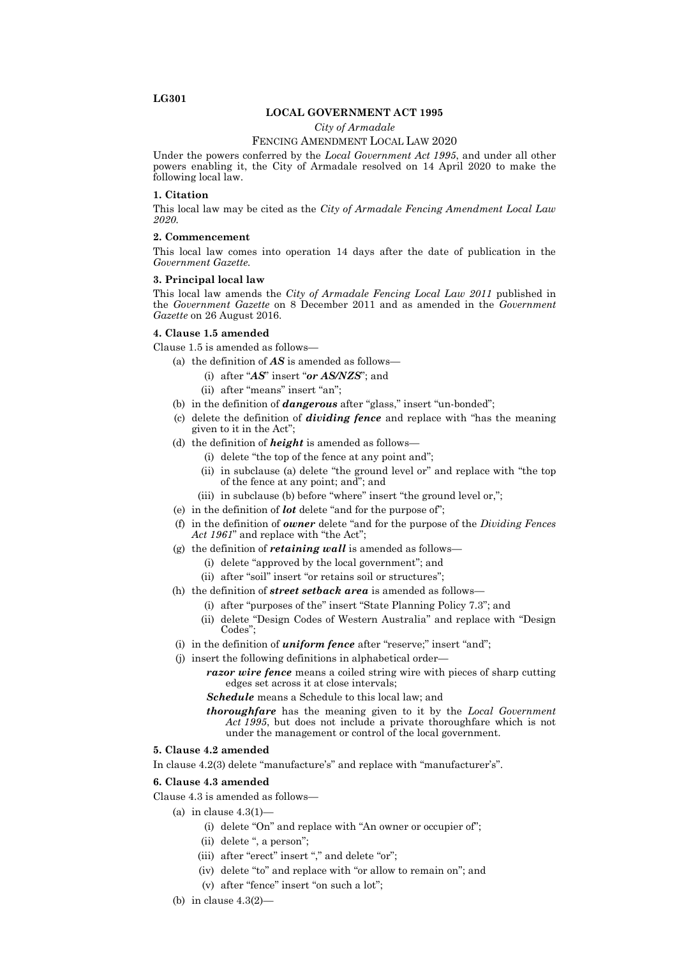### **LG301**

### **LOCAL GOVERNMENT ACT 1995**

*City of Armadale*

### FENCING AMENDMENT LOCAL LAW 2020

Under the powers conferred by the *Local Government Act 1995*, and under all other powers enabling it, the City of Armadale resolved on 14 April 2020 to make the following local law.

### **1. Citation**

This local law may be cited as the *City of Armadale Fencing Amendment Local Law 2020.*

### **2. Commencement**

This local law comes into operation 14 days after the date of publication in the *Government Gazette.*

### **3. Principal local law**

This local law amends the *City of Armadale Fencing Local Law 2011* published in the *Government Gazette* on 8 December 2011 and as amended in the *Government Gazette* on 26 August 2016.

### **4. Clause 1.5 amended**

Clause 1.5 is amended as follows—

- (a) the definition of *AS* is amended as follows—
	- (i) after "*AS*" insert "*or AS/NZS*"; and
	- (ii) after "means" insert "an";
- (b) in the definition of *dangerous* after "glass," insert "un-bonded";
- (c) delete the definition of *dividing fence* and replace with "has the meaning given to it in the Act";
- (d) the definition of *height* is amended as follows—
	- (i) delete "the top of the fence at any point and";
	- (ii) in subclause (a) delete "the ground level or" and replace with "the top of the fence at any point; and"; and
	- (iii) in subclause (b) before "where" insert "the ground level or,";
- (e) in the definition of *lot* delete "and for the purpose of";
- (f) in the definition of *owner* delete "and for the purpose of the *Dividing Fences Act 1961*" and replace with "the Act";
- (g) the definition of *retaining wall* is amended as follows—
	- (i) delete "approved by the local government"; and
	- (ii) after "soil" insert "or retains soil or structures";
- (h) the definition of *street setback area* is amended as follows—
	- (i) after "purposes of the" insert "State Planning Policy 7.3"; and
	- (ii) delete "Design Codes of Western Australia" and replace with "Design Codes";
- (i) in the definition of *uniform fence* after "reserve;" insert "and";
- (j) insert the following definitions in alphabetical order
	- *razor wire fence* means a coiled string wire with pieces of sharp cutting edges set across it at close intervals;
	- *Schedule* means a Schedule to this local law; and
	- *thoroughfare* has the meaning given to it by the *Local Government Act 1995*, but does not include a private thoroughfare which is not under the management or control of the local government.

#### **5. Clause 4.2 amended**

In clause 4.2(3) delete "manufacture's" and replace with "manufacturer's".

### **6. Clause 4.3 amended**

Clause 4.3 is amended as follows—

- (a) in clause  $4.3(1)$ -
	- (i) delete "On" and replace with "An owner or occupier of";
	- (ii) delete ", a person";
	- (iii) after "erect" insert "," and delete "or";
	- (iv) delete "to" and replace with "or allow to remain on"; and
		- (v) after "fence" insert "on such a lot";
- (b) in clause 4.3(2)—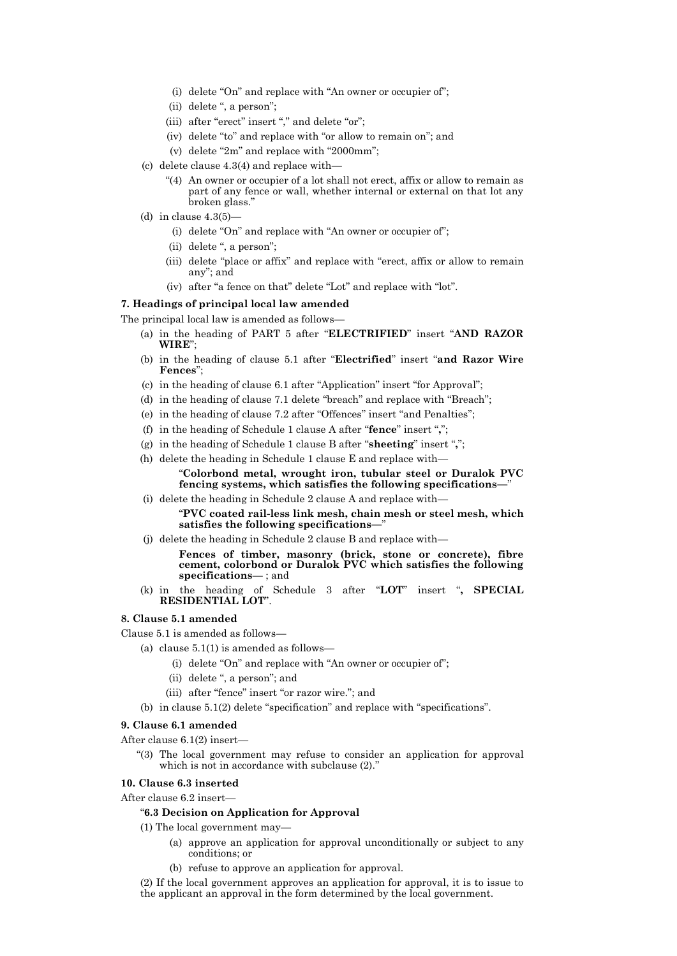- (i) delete "On" and replace with "An owner or occupier of";
- (ii) delete ", a person";
- (iii) after "erect" insert "," and delete "or";
- (iv) delete "to" and replace with "or allow to remain on"; and
- (v) delete "2m" and replace with "2000mm";
- (c) delete clause 4.3(4) and replace with—
	- "(4) An owner or occupier of a lot shall not erect, affix or allow to remain as part of any fence or wall, whether internal or external on that lot any broken glass."
- (d) in clause  $4.3(5)$ -
	- (i) delete "On" and replace with "An owner or occupier of";
	- (ii) delete ", a person";
	- (iii) delete "place or affix" and replace with "erect, affix or allow to remain any"; and
	- (iv) after "a fence on that" delete "Lot" and replace with "lot".

### **7. Headings of principal local law amended**

The principal local law is amended as follows—

- (a) in the heading of PART 5 after "**ELECTRIFIED**" insert "**AND RAZOR WIRE**";
- (b) in the heading of clause 5.1 after "**Electrified**" insert "**and Razor Wire Fences**";
- (c) in the heading of clause 6.1 after "Application" insert "for Approval";
- (d) in the heading of clause 7.1 delete "breach" and replace with "Breach";
- (e) in the heading of clause 7.2 after "Offences" insert "and Penalties";
- (f) in the heading of Schedule 1 clause A after "**fence**" insert "**,**";
- (g) in the heading of Schedule 1 clause B after "**sheeting**" insert "**,**";
- (h) delete the heading in Schedule 1 clause E and replace with—

## "**Colorbond metal, wrought iron, tubular steel or Duralok PVC fencing systems, which satisfies the following specifications—**"

(i) delete the heading in Schedule 2 clause A and replace with—

"**PVC coated rail-less link mesh, chain mesh or steel mesh, which satisfies the following specifications—**"

- (j) delete the heading in Schedule 2 clause B and replace with—
	- **Fences of timber, masonry (brick, stone or concrete), fibre cement, colorbond or Duralok PVC which satisfies the following specifications**— ; and
- (k) in the heading of Schedule 3 after "**LOT**" insert "**, SPECIAL RESIDENTIAL LOT**".

## **8. Clause 5.1 amended**

Clause 5.1 is amended as follows—

- (a) clause  $5.1(1)$  is amended as follows—
	- (i) delete "On" and replace with "An owner or occupier of";
	- (ii) delete ", a person"; and
	- (iii) after "fence" insert "or razor wire."; and
- (b) in clause 5.1(2) delete "specification" and replace with "specifications".

### **9. Clause 6.1 amended**

After clause  $6.1(2)$  insert-

"(3) The local government may refuse to consider an application for approval which is not in accordance with subclause  $(2)$ ."

### **10. Clause 6.3 inserted**

After clause 6.2 insert—

## "**6.3 Decision on Application for Approval**

(1) The local government may—

- (a) approve an application for approval unconditionally or subject to any conditions; or
- (b) refuse to approve an application for approval.

(2) If the local government approves an application for approval, it is to issue to the applicant an approval in the form determined by the local government.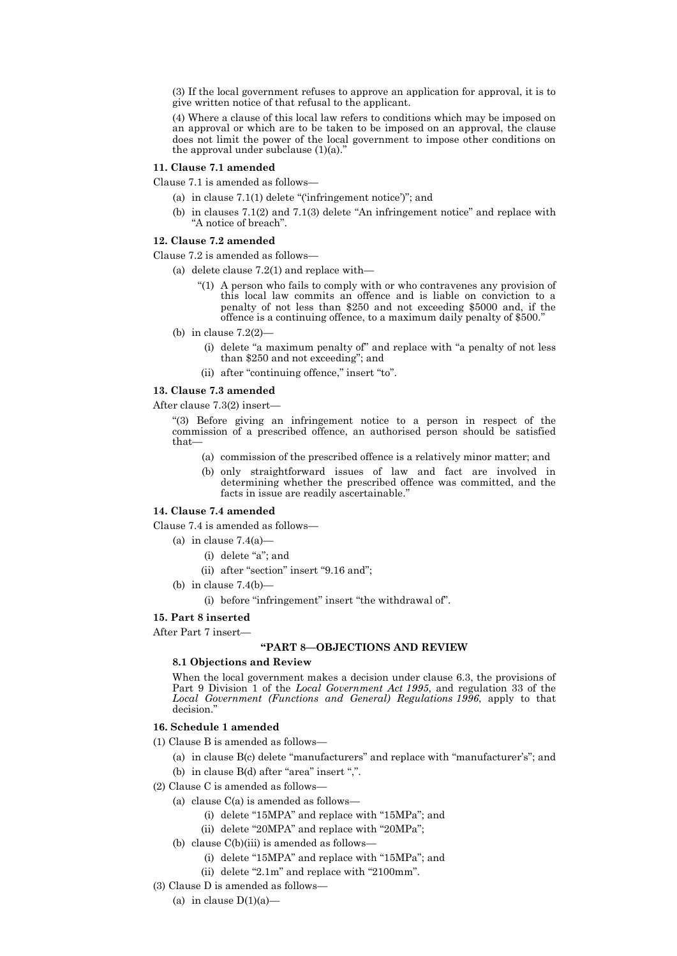(3) If the local government refuses to approve an application for approval, it is to give written notice of that refusal to the applicant.

(4) Where a clause of this local law refers to conditions which may be imposed on an approval or which are to be taken to be imposed on an approval, the clause does not limit the power of the local government to impose other conditions on the approval under subclause  $(1)(a)$ .

#### **11. Clause 7.1 amended**

Clause 7.1 is amended as follows—

- (a) in clause 7.1(1) delete "('infringement notice')"; and
- (b) in clauses 7.1(2) and 7.1(3) delete "An infringement notice" and replace with "A notice of breach".

## **12. Clause 7.2 amended**

Clause 7.2 is amended as follows—

- (a) delete clause  $7.2(1)$  and replace with-
	- "(1) A person who fails to comply with or who contravenes any provision of this local law commits an offence and is liable on conviction to a penalty of not less than \$250 and not exceeding \$5000 and, if the offence is a continuing offence, to a maximum daily penalty of \$500.
- (b) in clause 7.2(2)—
	- (i) delete "a maximum penalty of" and replace with "a penalty of not less than \$250 and not exceeding"; and
	- (ii) after "continuing offence," insert "to".

### **13. Clause 7.3 amended**

After clause 7.3(2) insert—

"(3) Before giving an infringement notice to a person in respect of the commission of a prescribed offence, an authorised person should be satisfied that—

- (a) commission of the prescribed offence is a relatively minor matter; and
- (b) only straightforward issues of law and fact are involved in determining whether the prescribed offence was committed, and the facts in issue are readily ascertainable."

#### **14. Clause 7.4 amended**

Clause 7.4 is amended as follows—

- (a) in clause  $7.4(a)$ 
	- (i) delete "a"; and
	- (ii) after "section" insert "9.16 and";
- (b) in clause  $7.4(b)$ 
	- (i) before "infringement" insert "the withdrawal of".

#### **15. Part 8 inserted**

After Part 7 insert—

### **"PART 8—OBJECTIONS AND REVIEW**

### **8.1 Objections and Review**

When the local government makes a decision under clause 6.3, the provisions of Part 9 Division 1 of the *Local Government Act 1995*, and regulation 33 of the *Local Government (Functions and General) Regulations 1996*, apply to that decision.'

### **16. Schedule 1 amended**

- (1) Clause B is amended as follows—
	- (a) in clause B(c) delete "manufacturers" and replace with "manufacturer's"; and
	- (b) in clause B(d) after "area" insert ",".
- (2) Clause C is amended as follows—
	- (a) clause C(a) is amended as follows—
		- (i) delete "15MPA" and replace with "15MPa"; and
		- (ii) delete "20MPA" and replace with "20MPa";
	- (b) clause C(b)(iii) is amended as follows—
		- (i) delete "15MPA" and replace with "15MPa"; and
		- (ii) delete "2.1m" and replace with "2100mm".
- (3) Clause D is amended as follows—
	- (a) in clause  $D(1)(a)$ —